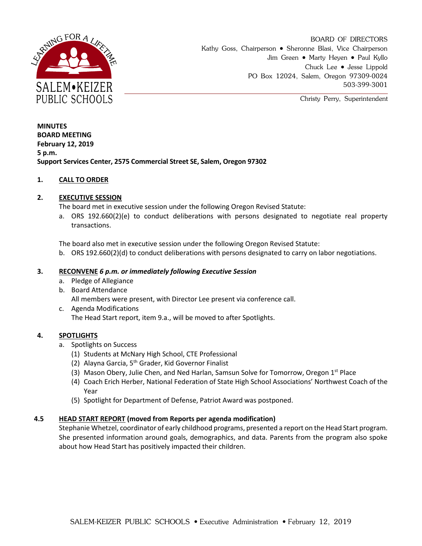

BOARD OF DIRECTORS Kathy Goss, Chairperson • Sheronne Blasi, Vice Chairperson Jim Green • Marty Heyen • Paul Kyllo Chuck Lee Jesse Lippold PO Box 12024, Salem, Oregon 97309-0024 503-399-3001

Christy Perry, Superintendent

**MINUTES BOARD MEETING February 12, 2019 5 p.m. Support Services Center, 2575 Commercial Street SE, Salem, Oregon 97302**

# **1. CALL TO ORDER**

# **2. EXECUTIVE SESSION**

The board met in executive session under the following Oregon Revised Statute:

a. ORS 192.660(2)(e) to conduct deliberations with persons designated to negotiate real property transactions.

The board also met in executive session under the following Oregon Revised Statute:

b. ORS 192.660(2)(d) to conduct deliberations with persons designated to carry on labor negotiations.

### **3. RECONVENE** *6 p.m. or immediately following Executive Session*

- a. Pledge of Allegiance
- b. Board Attendance

All members were present, with Director Lee present via conference call.

c. Agenda Modifications The Head Start report, item 9.a., will be moved to after Spotlights.

#### **4. SPOTLIGHTS**

- a. Spotlights on Success
	- (1) Students at McNary High School, CTE Professional
	- (2) Alayna Garcia,  $5<sup>th</sup>$  Grader, Kid Governor Finalist
	- (3) Mason Obery, Julie Chen, and Ned Harlan, Samsun Solve for Tomorrow, Oregon 1<sup>st</sup> Place
	- (4) Coach Erich Herber, National Federation of State High School Associations' Northwest Coach of the Year
	- (5) Spotlight for Department of Defense, Patriot Award was postponed.

#### **4.5 HEAD START REPORT (moved from Reports per agenda modification)**

Stephanie Whetzel, coordinator of early childhood programs, presented a report on the Head Start program. She presented information around goals, demographics, and data. Parents from the program also spoke about how Head Start has positively impacted their children.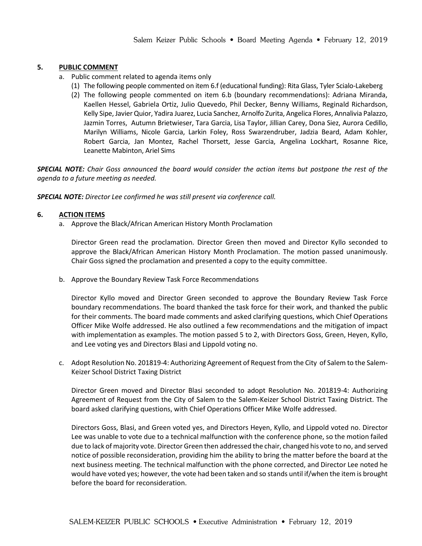# **5. PUBLIC COMMENT**

- a. Public comment related to agenda items only
	- (1) The following people commented on item 6.f (educational funding): Rita Glass, Tyler Scialo-Lakeberg
	- (2) The following people commented on item 6.b (boundary recommendations): Adriana Miranda, Kaellen Hessel, Gabriela Ortiz, Julio Quevedo, Phil Decker, Benny Williams, Reginald Richardson, Kelly Sipe, Javier Quior, Yadira Juarez, Lucia Sanchez, Arnolfo Zurita, Angelica Flores, Annalivia Palazzo, Jazmin Torres, Autumn Brietwieser, Tara Garcia, Lisa Taylor, Jillian Carey, Dona Siez, Aurora Cedillo, Marilyn Williams, Nicole Garcia, Larkin Foley, Ross Swarzendruber, Jadzia Beard, Adam Kohler, Robert Garcia, Jan Montez, Rachel Thorsett, Jesse Garcia, Angelina Lockhart, Rosanne Rice, Leanette Mabinton, Ariel Sims

*SPECIAL NOTE: Chair Goss announced the board would consider the action items but postpone the rest of the agenda to a future meeting as needed.* 

*SPECIAL NOTE: Director Lee confirmed he was still present via conference call.* 

# **6. ACTION ITEMS**

a. Approve the Black/African American History Month Proclamation

Director Green read the proclamation. Director Green then moved and Director Kyllo seconded to approve the Black/African American History Month Proclamation. The motion passed unanimously. Chair Goss signed the proclamation and presented a copy to the equity committee.

b. Approve the Boundary Review Task Force Recommendations

Director Kyllo moved and Director Green seconded to approve the Boundary Review Task Force boundary recommendations. The board thanked the task force for their work, and thanked the public for their comments. The board made comments and asked clarifying questions, which Chief Operations Officer Mike Wolfe addressed. He also outlined a few recommendations and the mitigation of impact with implementation as examples. The motion passed 5 to 2, with Directors Goss, Green, Heyen, Kyllo, and Lee voting yes and Directors Blasi and Lippold voting no.

c. Adopt Resolution No. 201819-4: Authorizing Agreement of Request from the City of Salem to the Salem-Keizer School District Taxing District

Director Green moved and Director Blasi seconded to adopt Resolution No. 201819-4: Authorizing Agreement of Request from the City of Salem to the Salem-Keizer School District Taxing District. The board asked clarifying questions, with Chief Operations Officer Mike Wolfe addressed.

Directors Goss, Blasi, and Green voted yes, and Directors Heyen, Kyllo, and Lippold voted no. Director Lee was unable to vote due to a technical malfunction with the conference phone, so the motion failed due to lack of majority vote. Director Green then addressed the chair, changed his vote to no, and served notice of possible reconsideration, providing him the ability to bring the matter before the board at the next business meeting. The technical malfunction with the phone corrected, and Director Lee noted he would have voted yes; however, the vote had been taken and so stands until if/when the item is brought before the board for reconsideration.